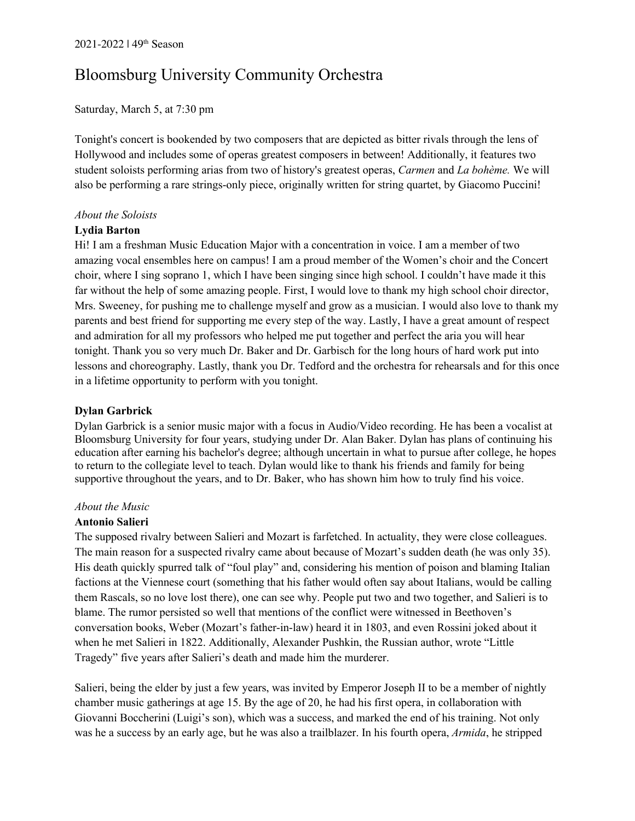#### Saturday, March 5, at 7:30 pm

Tonight's concert is bookended by two composers that are depicted as bitter rivals through the lens of Hollywood and includes some of operas greatest composers in between! Additionally, it features two student soloists performing arias from two of history's greatest operas, *Carmen* and *La bohème.* We will also be performing a rare strings-only piece, originally written for string quartet, by Giacomo Puccini!

### *About the Soloists*

#### **Lydia Barton**

Hi! I am a freshman Music Education Major with a concentration in voice. I am a member of two amazing vocal ensembles here on campus! I am a proud member of the Women's choir and the Concert choir, where I sing soprano 1, which I have been singing since high school. I couldn't have made it this far without the help of some amazing people. First, I would love to thank my high school choir director, Mrs. Sweeney, for pushing me to challenge myself and grow as a musician. I would also love to thank my parents and best friend for supporting me every step of the way. Lastly, I have a great amount of respect and admiration for all my professors who helped me put together and perfect the aria you will hear tonight. Thank you so very much Dr. Baker and Dr. Garbisch for the long hours of hard work put into lessons and choreography. Lastly, thank you Dr. Tedford and the orchestra for rehearsals and for this once in a lifetime opportunity to perform with you tonight.

### **Dylan Garbrick**

Dylan Garbrick is a senior music major with a focus in Audio/Video recording. He has been a vocalist at Bloomsburg University for four years, studying under Dr. Alan Baker. Dylan has plans of continuing his education after earning his bachelor's degree; although uncertain in what to pursue after college, he hopes to return to the collegiate level to teach. Dylan would like to thank his friends and family for being supportive throughout the years, and to Dr. Baker, who has shown him how to truly find his voice.

#### *About the Music*

#### **Antonio Salieri**

The supposed rivalry between Salieri and Mozart is farfetched. In actuality, they were close colleagues. The main reason for a suspected rivalry came about because of Mozart's sudden death (he was only 35). His death quickly spurred talk of "foul play" and, considering his mention of poison and blaming Italian factions at the Viennese court (something that his father would often say about Italians, would be calling them Rascals, so no love lost there), one can see why. People put two and two together, and Salieri is to blame. The rumor persisted so well that mentions of the conflict were witnessed in Beethoven's conversation books, Weber (Mozart's father-in-law) heard it in 1803, and even Rossini joked about it when he met Salieri in 1822. Additionally, Alexander Pushkin, the Russian author, wrote "Little Tragedy" five years after Salieri's death and made him the murderer.

Salieri, being the elder by just a few years, was invited by Emperor Joseph II to be a member of nightly chamber music gatherings at age 15. By the age of 20, he had his first opera, in collaboration with Giovanni Boccherini (Luigi's son), which was a success, and marked the end of his training. Not only was he a success by an early age, but he was also a trailblazer. In his fourth opera, *Armida*, he stripped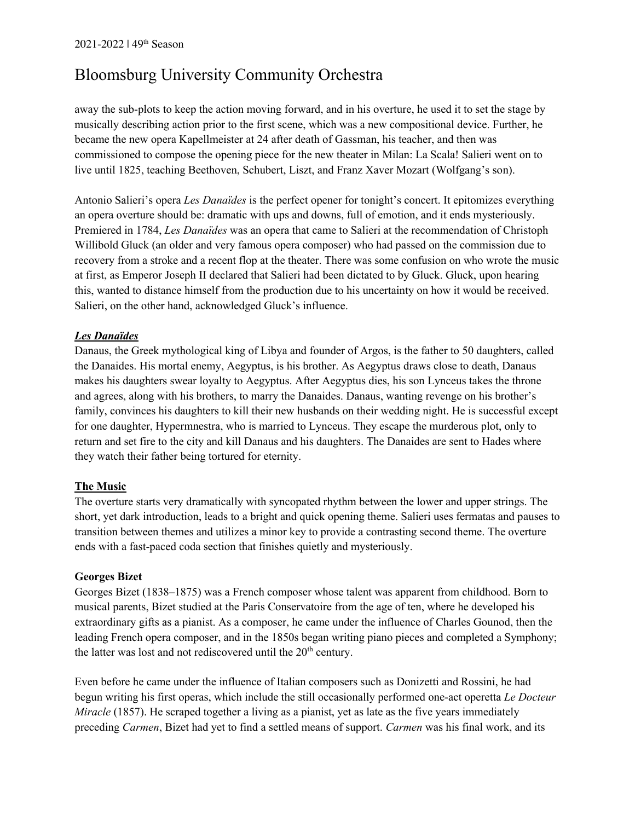away the sub-plots to keep the action moving forward, and in his overture, he used it to set the stage by musically describing action prior to the first scene, which was a new compositional device. Further, he became the new opera Kapellmeister at 24 after death of Gassman, his teacher, and then was commissioned to compose the opening piece for the new theater in Milan: La Scala! Salieri went on to live until 1825, teaching Beethoven, Schubert, Liszt, and Franz Xaver Mozart (Wolfgang's son).

Antonio Salieri's opera *Les Danaïdes* is the perfect opener for tonight's concert. It epitomizes everything an opera overture should be: dramatic with ups and downs, full of emotion, and it ends mysteriously. Premiered in 1784, *Les Danaïdes* was an opera that came to Salieri at the recommendation of Christoph Willibold Gluck (an older and very famous opera composer) who had passed on the commission due to recovery from a stroke and a recent flop at the theater. There was some confusion on who wrote the music at first, as Emperor Joseph II declared that Salieri had been dictated to by Gluck. Gluck, upon hearing this, wanted to distance himself from the production due to his uncertainty on how it would be received. Salieri, on the other hand, acknowledged Gluck's influence.

### *Les Danaïdes*

Danaus, the Greek mythological king of Libya and founder of Argos, is the father to 50 daughters, called the Danaides. His mortal enemy, Aegyptus, is his brother. As Aegyptus draws close to death, Danaus makes his daughters swear loyalty to Aegyptus. After Aegyptus dies, his son Lynceus takes the throne and agrees, along with his brothers, to marry the Danaides. Danaus, wanting revenge on his brother's family, convinces his daughters to kill their new husbands on their wedding night. He is successful except for one daughter, Hypermnestra, who is married to Lynceus. They escape the murderous plot, only to return and set fire to the city and kill Danaus and his daughters. The Danaides are sent to Hades where they watch their father being tortured for eternity.

### **The Music**

The overture starts very dramatically with syncopated rhythm between the lower and upper strings. The short, yet dark introduction, leads to a bright and quick opening theme. Salieri uses fermatas and pauses to transition between themes and utilizes a minor key to provide a contrasting second theme. The overture ends with a fast-paced coda section that finishes quietly and mysteriously.

### **Georges Bizet**

Georges Bizet (1838–1875) was a French composer whose talent was apparent from childhood. Born to musical parents, Bizet studied at the Paris Conservatoire from the age of ten, where he developed his extraordinary gifts as a pianist. As a composer, he came under the influence of Charles Gounod, then the leading French opera composer, and in the 1850s began writing piano pieces and completed a Symphony; the latter was lost and not rediscovered until the  $20<sup>th</sup>$  century.

Even before he came under the influence of Italian composers such as Donizetti and Rossini, he had begun writing his first operas, which include the still occasionally performed one-act operetta *Le Docteur Miracle* (1857). He scraped together a living as a pianist, yet as late as the five years immediately preceding *Carmen*, Bizet had yet to find a settled means of support. *Carmen* was his final work, and its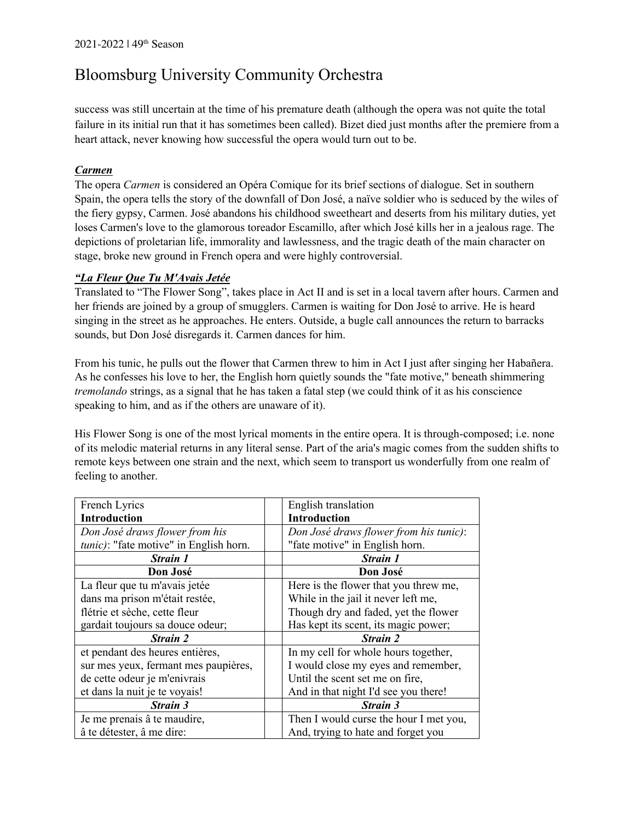success was still uncertain at the time of his premature death (although the opera was not quite the total failure in its initial run that it has sometimes been called). Bizet died just months after the premiere from a heart attack, never knowing how successful the opera would turn out to be.

### *Carmen*

The opera *Carmen* is considered an Opéra Comique for its brief sections of dialogue. Set in southern Spain, the opera tells the story of the downfall of Don José, a naïve soldier who is seduced by the wiles of the fiery gypsy, Carmen. José abandons his childhood sweetheart and deserts from his military duties, yet loses Carmen's love to the glamorous toreador Escamillo, after which José kills her in a jealous rage. The depictions of proletarian life, immorality and lawlessness, and the tragic death of the main character on stage, broke new ground in French opera and were highly controversial.

### *"La Fleur Que Tu M'Avais Jetée*

Translated to "The Flower Song", takes place in Act II and is set in a local tavern after hours. Carmen and her friends are joined by a group of smugglers. Carmen is waiting for Don José to arrive. He is heard singing in the street as he approaches. He enters. Outside, a bugle call announces the return to barracks sounds, but Don José disregards it. Carmen dances for him.

From his tunic, he pulls out the flower that Carmen threw to him in Act I just after singing her Habañera. As he confesses his love to her, the English horn quietly sounds the "fate motive," beneath shimmering *tremolando* strings, as a signal that he has taken a fatal step (we could think of it as his conscience speaking to him, and as if the others are unaware of it).

His Flower Song is one of the most lyrical moments in the entire opera. It is through-composed; i.e. none of its melodic material returns in any literal sense. Part of the aria's magic comes from the sudden shifts to remote keys between one strain and the next, which seem to transport us wonderfully from one realm of feeling to another.

| French Lyrics                          | English translation                    |
|----------------------------------------|----------------------------------------|
| <b>Introduction</b>                    | <b>Introduction</b>                    |
| Don José draws flower from his         | Don José draws flower from his tunic): |
| tunic): "fate motive" in English horn. | "fate motive" in English horn.         |
| <b>Strain 1</b>                        | <b>Strain 1</b>                        |
| Don José                               | Don José                               |
| La fleur que tu m'avais jetée          | Here is the flower that you threw me,  |
| dans ma prison m'était restée,         | While in the jail it never left me,    |
| flétrie et sèche, cette fleur          | Though dry and faded, yet the flower   |
| gardait toujours sa douce odeur;       | Has kept its scent, its magic power;   |
| <b>Strain 2</b>                        | <b>Strain 2</b>                        |
| et pendant des heures entières,        | In my cell for whole hours together,   |
| sur mes yeux, fermant mes paupières,   | I would close my eyes and remember,    |
| de cette odeur je m'enivrais           | Until the scent set me on fire,        |
| et dans la nuit je te voyais!          | And in that night I'd see you there!   |
| <b>Strain 3</b>                        | <b>Strain 3</b>                        |
| Je me prenais â te maudire,            | Then I would curse the hour I met you, |
| â te détester, â me dire:              | And, trying to hate and forget you     |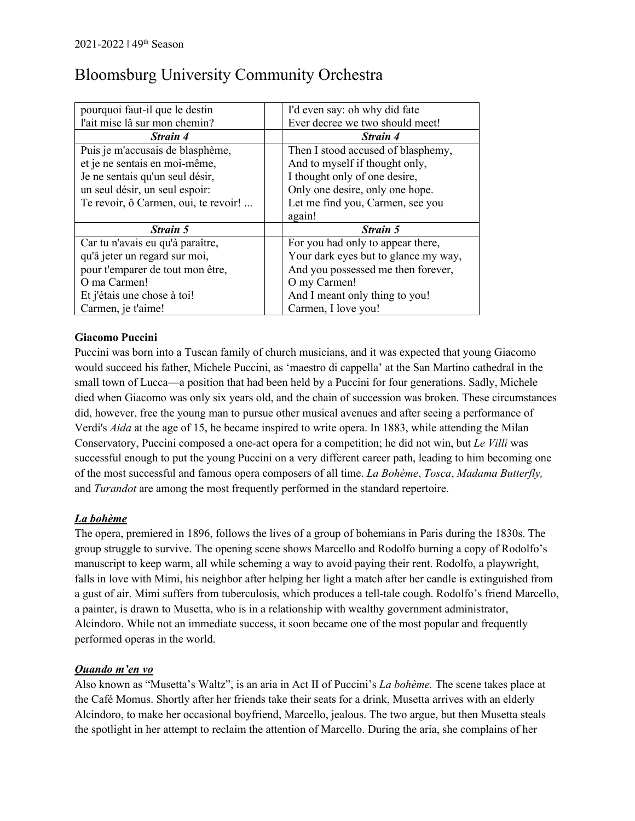| pourquoi faut-il que le destin       | I'd even say: oh why did fate        |
|--------------------------------------|--------------------------------------|
| l'ait mise lâ sur mon chemin?        | Ever decree we two should meet!      |
| <b>Strain 4</b>                      | <b>Strain 4</b>                      |
| Puis je m'accusais de blasphème,     | Then I stood accused of blasphemy,   |
| et je ne sentais en moi-même,        | And to myself if thought only,       |
| Je ne sentais qu'un seul désir,      | I thought only of one desire,        |
| un seul désir, un seul espoir:       | Only one desire, only one hope.      |
| Te revoir, ô Carmen, oui, te revoir! | Let me find you, Carmen, see you     |
|                                      | again!                               |
| Strain 5                             | Strain 5                             |
| Car tu n'avais eu qu'à paraître,     | For you had only to appear there,    |
|                                      |                                      |
| qu'â jeter un regard sur moi,        | Your dark eyes but to glance my way, |
| pour t'emparer de tout mon être,     | And you possessed me then forever,   |
| O ma Carmen!                         | O my Carmen!                         |
| Et j'étais une chose à toi!          | And I meant only thing to you!       |

### **Giacomo Puccini**

Puccini was born into a Tuscan family of church musicians, and it was expected that young Giacomo would succeed his father, Michele Puccini, as 'maestro di cappella' at the San Martino cathedral in the small town of Lucca—a position that had been held by a Puccini for four generations. Sadly, Michele died when Giacomo was only six years old, and the chain of succession was broken. These circumstances did, however, free the young man to pursue other musical avenues and after seeing a performance of Verdi's *Aida* at the age of 15, he became inspired to write opera. In 1883, while attending the Milan Conservatory, Puccini composed a one-act opera for a competition; he did not win, but *Le Villi* was successful enough to put the young Puccini on a very different career path, leading to him becoming one of the most successful and famous opera composers of all time. *La Bohème*, *Tosca*, *Madama Butterfly,*  and *Turandot* are among the most frequently performed in the standard repertoire.

### *La bohème*

The opera, premiered in 1896, follows the lives of a group of bohemians in Paris during the 1830s. The group struggle to survive. The opening scene shows Marcello and Rodolfo burning a copy of Rodolfo's manuscript to keep warm, all while scheming a way to avoid paying their rent. Rodolfo, a playwright, falls in love with Mimi, his neighbor after helping her light a match after her candle is extinguished from a gust of air. Mimi suffers from tuberculosis, which produces a tell-tale cough. Rodolfo's friend Marcello, a painter, is drawn to Musetta, who is in a relationship with wealthy government administrator, Alcindoro. While not an immediate success, it soon became one of the most popular and frequently performed operas in the world.

### *Quando m'en vo*

Also known as "Musetta's Waltz", is an aria in Act II of Puccini's *La bohème.* The scene takes place at the Café Momus. Shortly after her friends take their seats for a drink, Musetta arrives with an elderly Alcindoro, to make her occasional boyfriend, Marcello, jealous. The two argue, but then Musetta steals the spotlight in her attempt to reclaim the attention of Marcello. During the aria, she complains of her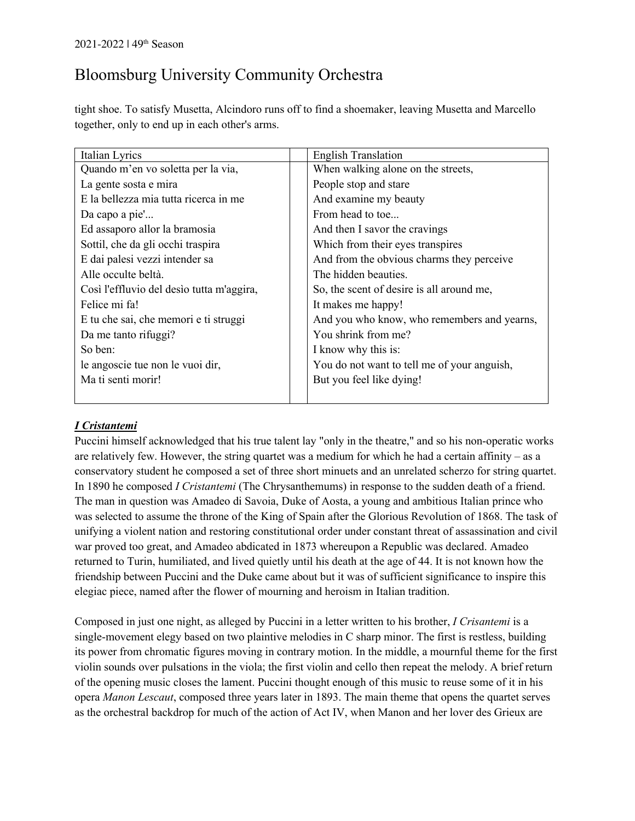tight shoe. To satisfy Musetta, Alcindoro runs off to find a shoemaker, leaving Musetta and Marcello together, only to end up in each other's arms.

| Italian Lyrics                            | <b>English Translation</b>                  |
|-------------------------------------------|---------------------------------------------|
| Quando m'en vo soletta per la via,        | When walking alone on the streets,          |
| La gente sosta e mira                     | People stop and stare                       |
| E la bellezza mia tutta ricerca in me     | And examine my beauty                       |
| Da capo a pie'                            | From head to toe                            |
| Ed assaporo allor la bramosia             | And then I savor the cravings               |
| Sottil, che da gli occhi traspira         | Which from their eyes transpires            |
| E dai palesi vezzi intender sa            | And from the obvious charms they perceive   |
| Alle occulte beltà.                       | The hidden beauties.                        |
| Così l'effluvio del desìo tutta m'aggira, | So, the scent of desire is all around me,   |
| Felice mi fa!                             | It makes me happy!                          |
| E tu che sai, che memori e ti struggi     | And you who know, who remembers and yearns, |
| Da me tanto rifuggi?                      | You shrink from me?                         |
| So ben:                                   | I know why this is:                         |
| le angoscie tue non le vuoi dir,          | You do not want to tell me of your anguish, |
| Ma ti senti morir!                        | But you feel like dying!                    |
|                                           |                                             |

### *I Cristantemi*

Puccini himself acknowledged that his true talent lay "only in the theatre," and so his non-operatic works are relatively few. However, the string quartet was a medium for which he had a certain affinity – as a conservatory student he composed a set of three short minuets and an unrelated scherzo for string quartet. In 1890 he composed *I Cristantemi* (The Chrysanthemums) in response to the sudden death of a friend. The man in question was Amadeo di Savoia, Duke of Aosta, a young and ambitious Italian prince who was selected to assume the throne of the King of Spain after the Glorious Revolution of 1868. The task of unifying a violent nation and restoring constitutional order under constant threat of assassination and civil war proved too great, and Amadeo abdicated in 1873 whereupon a Republic was declared. Amadeo returned to Turin, humiliated, and lived quietly until his death at the age of 44. It is not known how the friendship between Puccini and the Duke came about but it was of sufficient significance to inspire this elegiac piece, named after the flower of mourning and heroism in Italian tradition.

Composed in just one night, as alleged by Puccini in a letter written to his brother, *I Crisantemi* is a single-movement elegy based on two plaintive melodies in C sharp minor. The first is restless, building its power from chromatic figures moving in contrary motion. In the middle, a mournful theme for the first violin sounds over pulsations in the viola; the first violin and cello then repeat the melody. A brief return of the opening music closes the lament. Puccini thought enough of this music to reuse some of it in his opera *Manon Lescaut*, composed three years later in 1893. The main theme that opens the quartet serves as the orchestral backdrop for much of the action of Act IV, when Manon and her lover des Grieux are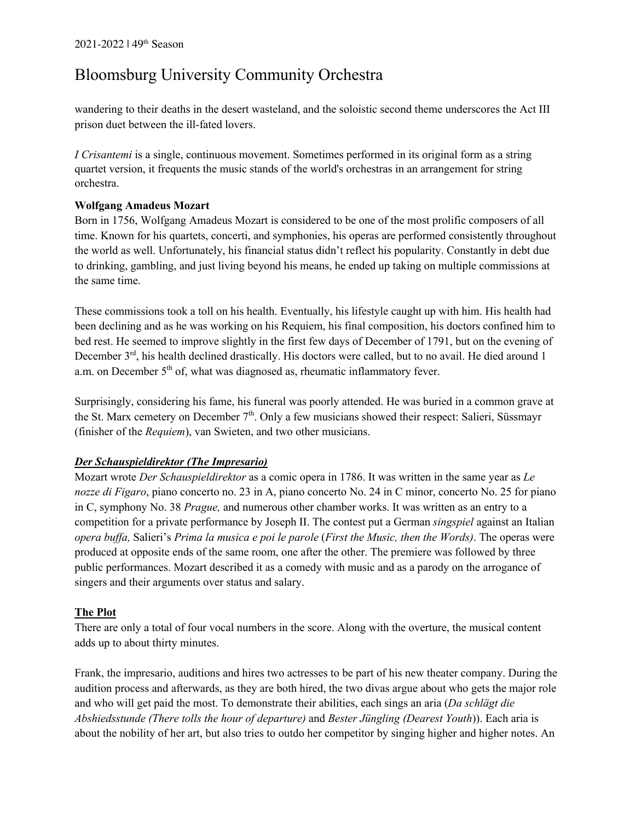wandering to their deaths in the desert wasteland, and the soloistic second theme underscores the Act III prison duet between the ill-fated lovers.

*I Crisantemi* is a single, continuous movement. Sometimes performed in its original form as a string quartet version, it frequents the music stands of the world's orchestras in an arrangement for string orchestra.

### **Wolfgang Amadeus Mozart**

Born in 1756, Wolfgang Amadeus Mozart is considered to be one of the most prolific composers of all time. Known for his quartets, concerti, and symphonies, his operas are performed consistently throughout the world as well. Unfortunately, his financial status didn't reflect his popularity. Constantly in debt due to drinking, gambling, and just living beyond his means, he ended up taking on multiple commissions at the same time.

These commissions took a toll on his health. Eventually, his lifestyle caught up with him. His health had been declining and as he was working on his Requiem, his final composition, his doctors confined him to bed rest. He seemed to improve slightly in the first few days of December of 1791, but on the evening of December 3<sup>rd</sup>, his health declined drastically. His doctors were called, but to no avail. He died around 1 a.m. on December  $5<sup>th</sup>$  of, what was diagnosed as, rheumatic inflammatory fever.

Surprisingly, considering his fame, his funeral was poorly attended. He was buried in a common grave at the St. Marx cemetery on December  $7<sup>th</sup>$ . Only a few musicians showed their respect: Salieri, Süssmayr (finisher of the *Requiem*), van Swieten, and two other musicians.

### *Der Schauspieldirektor (The Impresario)*

Mozart wrote *Der Schauspieldirektor* as a comic opera in 1786. It was written in the same year as *Le nozze di Figaro*, piano concerto no. 23 in A, piano concerto No. 24 in C minor, concerto No. 25 for piano in C, symphony No. 38 *Prague,* and numerous other chamber works. It was written as an entry to a competition for a private performance by Joseph II. The contest put a German *singspiel* against an Italian *opera buffa,* Salieri's *Prima la musica e poi le parole* (*First the Music, then the Words)*. The operas were produced at opposite ends of the same room, one after the other. The premiere was followed by three public performances. Mozart described it as a comedy with music and as a parody on the arrogance of singers and their arguments over status and salary.

### **The Plot**

There are only a total of four vocal numbers in the score. Along with the overture, the musical content adds up to about thirty minutes.

Frank, the impresario, auditions and hires two actresses to be part of his new theater company. During the audition process and afterwards, as they are both hired, the two divas argue about who gets the major role and who will get paid the most. To demonstrate their abilities, each sings an aria (*Da schlägt die Abshiedsstunde (There tolls the hour of departure)* and *Bester Jüngling (Dearest Youth*)). Each aria is about the nobility of her art, but also tries to outdo her competitor by singing higher and higher notes. An